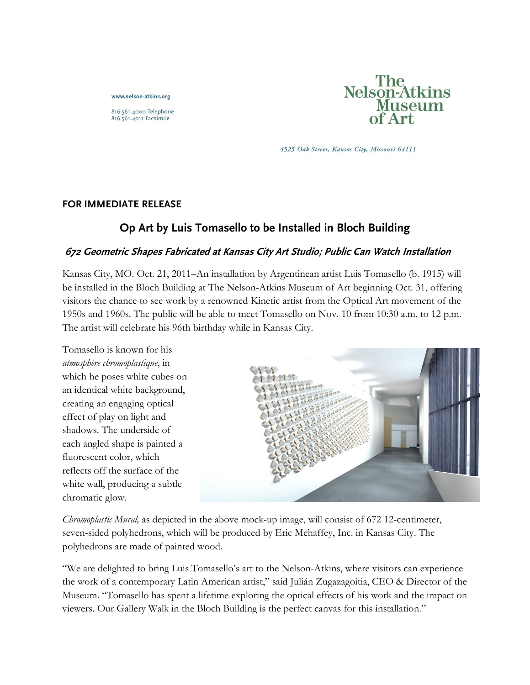www.nelson-atkins.org

816.561.4000 Telephone 816.561.4011 Facsimile



4525 Oak Street, Kansas City, Missouri 64111

### **FOR IMMEDIATE RELEASE**

# **Op Art by Luis Tomasello to be Installed in Bloch Building**

### **672 Geometric Shapes Fabricated at Kansas City Art Studio; Public Can Watch Installation**

Kansas City, MO. Oct. 21, 2011–An installation by Argentinean artist Luis Tomasello (b. 1915) will be installed in the Bloch Building at The Nelson-Atkins Museum of Art beginning Oct. 31, offering visitors the chance to see work by a renowned Kinetic artist from the Optical Art movement of the 1950s and 1960s. The public will be able to meet Tomasello on Nov. 10 from 10:30 a.m. to 12 p.m. The artist will celebrate his 96th birthday while in Kansas City.

Tomasello is known for his *atmosphère chromoplastique*, in which he poses white cubes on an identical white background, creating an engaging optical effect of play on light and shadows. The underside of each angled shape is painted a fluorescent color, which reflects off the surface of the white wall, producing a subtle chromatic glow.



*Chromoplastic Mural,* as depicted in the above mock-up image, will consist of 672 12-centimeter, seven-sided polyhedrons, which will be produced by Eric Mehaffey, Inc. in Kansas City. The polyhedrons are made of painted wood.

"We are delighted to bring Luis Tomasello's art to the Nelson-Atkins, where visitors can experience the work of a contemporary Latin American artist," said Julián Zugazagoitia, CEO & Director of the Museum. "Tomasello has spent a lifetime exploring the optical effects of his work and the impact on viewers. Our Gallery Walk in the Bloch Building is the perfect canvas for this installation."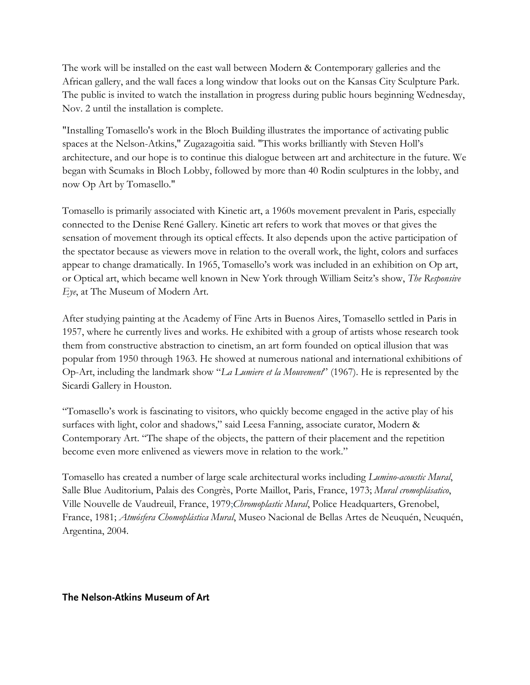The work will be installed on the east wall between Modern & Contemporary galleries and the African gallery, and the wall faces a long window that looks out on the Kansas City Sculpture Park. The public is invited to watch the installation in progress during public hours beginning Wednesday, Nov. 2 until the installation is complete.

"Installing Tomasello's work in the Bloch Building illustrates the importance of activating public spaces at the Nelson-Atkins," Zugazagoitia said. "This works brilliantly with Steven Holl's architecture, and our hope is to continue this dialogue between art and architecture in the future. We began with Scumaks in Bloch Lobby, followed by more than 40 Rodin sculptures in the lobby, and now Op Art by Tomasello."

Tomasello is primarily associated with Kinetic art, a 1960s movement prevalent in Paris, especially connected to the Denise René Gallery. Kinetic art refers to work that moves or that gives the sensation of movement through its optical effects. It also depends upon the active participation of the spectator because as viewers move in relation to the overall work, the light, colors and surfaces appear to change dramatically. In 1965, Tomasello's work was included in an exhibition on Op art, or Optical art, which became well known in New York through William Seitz's show, *The Responsive Eye*, at The Museum of Modern Art.

After studying painting at the Academy of Fine Arts in Buenos Aires, Tomasello settled in Paris in 1957, where he currently lives and works. He exhibited with a group of artists whose research took them from constructive abstraction to cinetism, an art form founded on optical illusion that was popular from 1950 through 1963. He showed at numerous national and international exhibitions of Op-Art, including the landmark show "*La Lumiere et la Mouvement*" (1967). He is represented by the Sicardi Gallery in Houston.

"Tomasello's work is fascinating to visitors, who quickly become engaged in the active play of his surfaces with light, color and shadows," said Leesa Fanning, associate curator, Modern & Contemporary Art. "The shape of the objects, the pattern of their placement and the repetition become even more enlivened as viewers move in relation to the work."

Tomasello has created a number of large scale architectural works including *Lumino-acoustic Mural*, Salle Blue Auditorium, Palais des Congrès, Porte Maillot, Paris, France, 1973; *Mural cromoplásatico*, Ville Nouvelle de Vaudreuil, France, 1979;*Chromoplastic Mural*, Police Headquarters, Grenobel, France, 1981; *Atmósfera Chomoplástica Mural*, Museo Nacional de Bellas Artes de Neuquén, Neuquén, Argentina, 2004.

#### **The Nelson-Atkins Museum of Art**